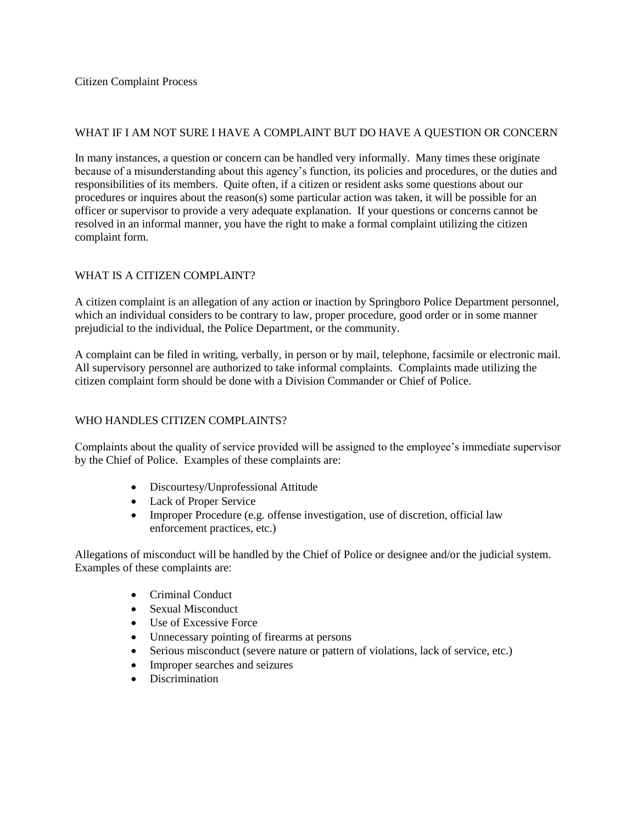#### WHAT IF I AM NOT SURE I HAVE A COMPLAINT BUT DO HAVE A QUESTION OR CONCERN

In many instances, a question or concern can be handled very informally. Many times these originate because of a misunderstanding about this agency's function, its policies and procedures, or the duties and responsibilities of its members. Quite often, if a citizen or resident asks some questions about our procedures or inquires about the reason(s) some particular action was taken, it will be possible for an officer or supervisor to provide a very adequate explanation. If your questions or concerns cannot be resolved in an informal manner, you have the right to make a formal complaint utilizing the citizen complaint form.

### WHAT IS A CITIZEN COMPLAINT?

A citizen complaint is an allegation of any action or inaction by Springboro Police Department personnel, which an individual considers to be contrary to law, proper procedure, good order or in some manner prejudicial to the individual, the Police Department, or the community.

A complaint can be filed in writing, verbally, in person or by mail, telephone, facsimile or electronic mail. All supervisory personnel are authorized to take informal complaints. Complaints made utilizing the citizen complaint form should be done with a Division Commander or Chief of Police.

# WHO HANDLES CITIZEN COMPLAINTS?

Complaints about the quality of service provided will be assigned to the employee's immediate supervisor by the Chief of Police. Examples of these complaints are:

- Discourtesy/Unprofessional Attitude
- Lack of Proper Service
- Improper Procedure (e.g. offense investigation, use of discretion, official law enforcement practices, etc.)

Allegations of misconduct will be handled by the Chief of Police or designee and/or the judicial system. Examples of these complaints are:

- Criminal Conduct
- Sexual Misconduct
- Use of Excessive Force
- Unnecessary pointing of firearms at persons
- Serious misconduct (severe nature or pattern of violations, lack of service, etc.)
- Improper searches and seizures
- Discrimination